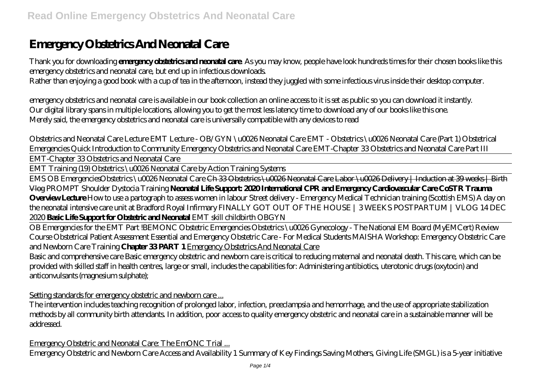# **Emergency Obstetrics And Neonatal Care**

Thank you for downloading **emergency obstetrics and neonatal care**. As you may know, people have look hundreds times for their chosen books like this emergency obstetrics and neonatal care, but end up in infectious downloads.

Rather than enjoying a good book with a cup of tea in the afternoon, instead they juggled with some infectious virus inside their desktop computer.

emergency obstetrics and neonatal care is available in our book collection an online access to it is set as public so you can download it instantly. Our digital library spans in multiple locations, allowing you to get the most less latency time to download any of our books like this one. Merely said, the emergency obstetrics and neonatal care is universally compatible with any devices to read

*Obstetrics and Neonatal Care Lecture EMT Lecture - OB/GYN \u0026 Neonatal Care EMT - Obstetrics \u0026 Neonatal Care (Part 1) Obstetrical Emergencies Quick Introduction to Community Emergency Obstetrics and Neonatal Care EMT-Chapter 33 Obstetrics and Neonatal Care Part III* EMT-Chapter 33 Obstetrics and Neonatal Care

EMT Training (19) Obstetrics \u0026 Neonatal Care by Action Training Systems

EMS OB Emergencies*Obstetrics \u0026 Neonatal Care* Ch 33 Obstetrics \u0026 Neonatal Care Labor \u0026 Delivery | Induction at 39 weeks | Birth Vlog PROMPT Shoulder Dystocia Training **Neonatal Life Support: 2020 International CPR and Emergency Cardiovascular Care CoSTR Trauma Overview Lecture** *How to use a partograph to assess women in labour Street delivery - Emergency Medical Technician training (Scottish EMS) A day on the neonatal intensive care unit at Bradford Royal Infirmary FINALLY GOT OUT OF THE HOUSE | 3 WEEKS POSTPARTUM | VLOG 14 DEC 2020* **Basic Life Support for Obstetric and Neonatal** *EMT skill childbirth OBGYN*

OB Emergencies for the EMT Part !*BEMONC Obstetric Emergencies* Obstetrics \u0026 Gynecology - The National EM Board (MyEMCert) Review Course *Obstetrical Patient Assessment Essential and Emergency Obstetric Care - For Medical Students MAISHA Workshop: Emergency Obstetric Care and Newborn Care Training* **Chapter 33 PART 1** Emergency Obstetrics And Neonatal Care

Basic and comprehensive care Basic emergency obstetric and newborn care is critical to reducing maternal and neonatal death. This care, which can be provided with skilled staff in health centres, large or small, includes the capabilities for: Administering antibiotics, uterotonic drugs (oxytocin) and anticonvulsants (magnesium sulphate);

Setting standards for emergency obstetric and newborn care...

The intervention includes teaching recognition of prolonged labor, infection, preeclampsia and hemorrhage, and the use of appropriate stabilization methods by all community birth attendants. In addition, poor access to quality emergency obstetric and neonatal care in a sustainable manner will be addressed.

Emergency Obstetric and Neonatal Care: The EmONC Trial ...

Emergency Obstetric and Newborn Care Access and Availability 1 Summary of Key Findings Saving Mothers, Giving Life (SMGL) is a 5-year initiative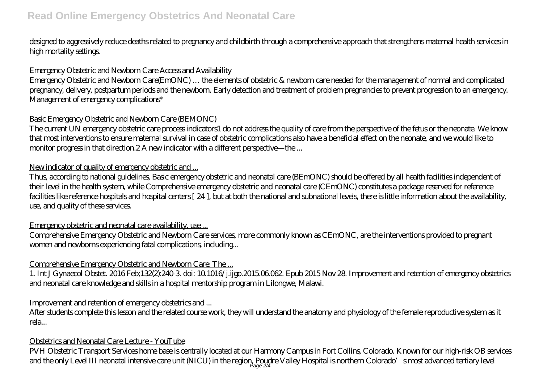designed to aggressively reduce deaths related to pregnancy and childbirth through a comprehensive approach that strengthens maternal health services in high mortality settings.

#### Emergency Obstetric and Newborn Care Access and Availability

Emergency Obstetric and Newborn Care(EmONC) … the elements of obstetric & newborn care needed for the management of normal and complicated pregnancy, delivery, postpartum periods and the newborn. Early detection and treatment of problem pregnancies to prevent progression to an emergency. Management of emergency complications\*

#### Basic Emergency Obstetric and Newborn Care (BEMONC)

The current UN emergency obstetric care process indicators1 do not address the quality of care from the perspective of the fetus or the neonate. We know that most interventions to ensure maternal survival in case of obstetric complications also have a beneficial effect on the neonate, and we would like to monitor progress in that direction.2 A new indicator with a different perspective—the ...

## New indicator of quality of emergency obstetric and ...

Thus, according to national guidelines, Basic emergency obstetric and neonatal care (BEmONC) should be offered by all health facilities independent of their level in the health system, while Comprehensive emergency obstetric and neonatal care (CEmONC) constitutes a package reserved for reference facilities like reference hospitals and hospital centers [ 24 ], but at both the national and subnational levels, there is little information about the availability, use, and quality of these services.

## Emergency obstetric and neonatal care availability, use ...

Comprehensive Emergency Obstetric and Newborn Care services, more commonly known as CEmONC, are the interventions provided to pregnant women and newborns experiencing fatal complications, including...

## Comprehensive Emergency Obstetric and Newborn Care: The ...

1. Int J Gynaecol Obstet. 2016 Feb;132(2):240-3. doi: 10.1016/j.ijgo.2015.06.062. Epub 2015 Nov 28. Improvement and retention of emergency obstetrics and neonatal care knowledge and skills in a hospital mentorship program in Lilongwe, Malawi.

## Improvement and retention of emergency obstetrics and ...

After students complete this lesson and the related course work, they will understand the anatomy and physiology of the female reproductive system as it rela...

#### Obstetrics and Neonatal Care Lecture - YouTube

PVH Obstetric Transport Services home base is centrally located at our Harmony Campus in Fort Collins, Colorado. Known for our high-risk OB services and the only Level III neonatal intensive care unit (NICU) in the region, Poudre Valley Hospital is northern Colorado's most advanced tertiary level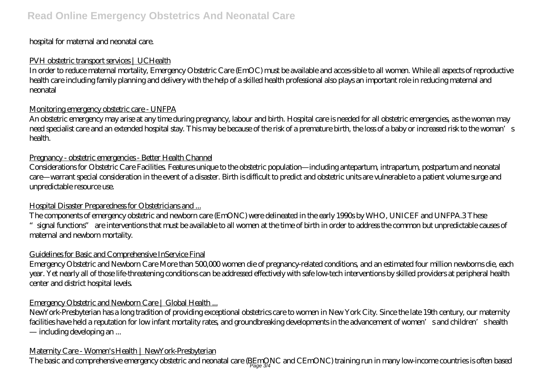## hospital for maternal and neonatal care.

## PVH obstetric transport services | UCHealth

In order to reduce maternal mortality, Emergency Obstetric Care (EmOC) must be available and acces-sible to all women. While all aspects of reproductive health care including family planning and delivery with the help of a skilled health professional also plays an important role in reducing maternal and neonatal

## Monitoring emergency obstetric care - UNFPA

An obstetric emergency may arise at any time during pregnancy, labour and birth. Hospital care is needed for all obstetric emergencies, as the woman may need specialist care and an extended hospital stay. This may be because of the risk of a premature birth, the loss of a baby or increased risk to the woman's health.

## Pregnancy - obstetric emergencies - Better Health Channel

Considerations for Obstetric Care Facilities. Features unique to the obstetric population—including antepartum, intrapartum, postpartum and neonatal care—warrant special consideration in the event of a disaster. Birth is difficult to predict and obstetric units are vulnerable to a patient volume surge and unpredictable resource use.

## Hospital Disaster Preparedness for Obstetricians and ...

The components of emergency obstetric and newborn care (EmONC) were delineated in the early 1990s by WHO, UNICEF and UNFPA.3 These "signal functions" are interventions that must be available to all women at the time of birth in order to address the common but unpredictable causes of maternal and newborn mortality.

## Guidelines for Basic and Comprehensive InService Final

Emergency Obstetric and Newborn Care More than 500,000 women die of pregnancy-related conditions, and an estimated four million newborns die, each year. Yet nearly all of those life-threatening conditions can be addressed effectively with safe low-tech interventions by skilled providers at peripheral health center and district hospital levels.

## Emergency Obstetric and Newborn Care | Global Health...

NewYork-Presbyterian has a long tradition of providing exceptional obstetrics care to women in New York City. Since the late 19th century, our maternity facilities have held a reputation for low infant mortality rates, and groundbreaking developments in the advancement of women's and children's health — including developing an ...

## Maternity Care - Women's Health | NewYork-Presbyterian

The basic and comprehensive emergency obstetric and neonatal care (BEmQNC and CEmONC) training run in many low-income countries is often based